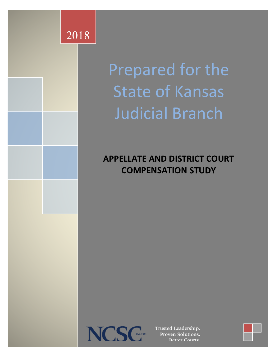

Prepared for the State of Kansas Judicial Branch

### **APPELLATE AND DISTRICT COURT COMPENSATION**



Trusted Leadership. Proven Solutions. Retter Courts

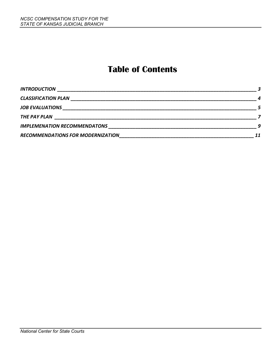### **Table of Contents**

| <b>INTRODUCTION</b>                 |                  |
|-------------------------------------|------------------|
| <b>CLASSIFICATION PLAN</b>          | $\boldsymbol{a}$ |
| <b>JOB EVALUATIONS SECURE 2006</b>  |                  |
| THE PAY PLAN                        |                  |
| <b>IMPLEMENATION RECOMMENDATONS</b> |                  |
| RECOMMENDATIONS FOR MODERNIZATION   | 11               |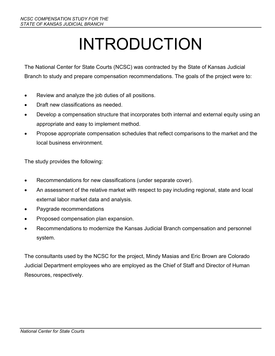# INTRODUCTION

The National Center for State Courts (NCSC) was contracted by the State of Kansas Judicial Branch to study and prepare compensation recommendations. The goals of the project were to:

- Review and analyze the job duties of all positions.
- Draft new classifications as needed.
- Develop a compensation structure that incorporates both internal and external equity using an appropriate and easy to implement method.
- Propose appropriate compensation schedules that reflect comparisons to the market and the local business environment.

The study provides the following:

- Recommendations for new classifications (under separate cover).
- An assessment of the relative market with respect to pay including regional, state and local external labor market data and analysis.
- Paygrade recommendations
- Proposed compensation plan expansion.
- Recommendations to modernize the Kansas Judicial Branch compensation and personnel system.

The consultants used by the NCSC for the project, Mindy Masias and Eric Brown are Colorado Judicial Department employees who are employed as the Chief of Staff and Director of Human Resources, respectively.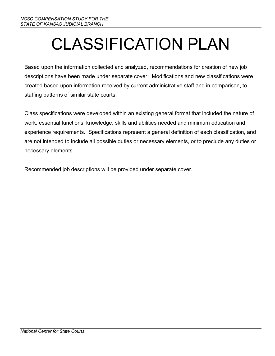# CLASSIFICATION PLAN

Based upon the information collected and analyzed, recommendations for creation of new job descriptions have been made under separate cover. Modifications and new classifications were created based upon information received by current administrative staff and in comparison, to staffing patterns of similar state courts.

Class specifications were developed within an existing general format that included the nature of work, essential functions, knowledge, skills and abilities needed and minimum education and experience requirements. Specifications represent a general definition of each classification, and are not intended to include all possible duties or necessary elements, or to preclude any duties or necessary elements.

Recommended job descriptions will be provided under separate cover.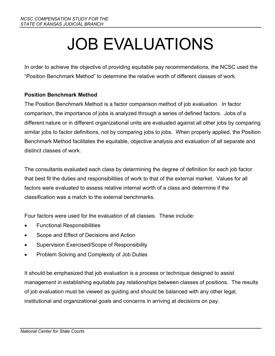# JOB EVALUATIONS

In order to achieve the objective of providing equitable pay recommendations, the NCSC used the "Position Benchmark Method" to determine the relative worth of different classes of work.

#### **Position Benchmark Method**

The Position Benchmark Method is a factor comparison method of job evaluation. In factor comparison, the importance of jobs is analyzed through a series of defined factors. Jobs of a different nature or in different organizational units are evaluated against all other jobs by comparing similar jobs to factor definitions, not by comparing jobs to jobs. When properly applied, the Position Benchmark Method facilitates the equitable, objective analysis and evaluation of all separate and distinct classes of work.

The consultants evaluated each class by determining the degree of definition for each job factor that best fit the duties and responsibilities of work to that of the external market. Values for all factors were evaluated to assess relative internal worth of a class and determine if the classification was a match to the external benchmarks.

Four factors were used for the evaluation of all classes. These include:

- Functional Responsibilities
- Scope and Effect of Decisions and Action
- Supervision Exercised/Scope of Responsibility
- Problem Solving and Complexity of Job Duties

It should be emphasized that job evaluation is a process or technique designed to assist management in establishing equitable pay relationships between classes of positions. The results of job evaluation must be viewed as guiding and should be balanced with any other legal, institutional and organizational goals and concerns in arriving at decisions on pay.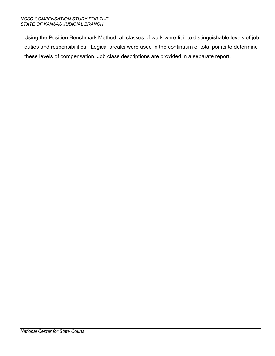Using the Position Benchmark Method, all classes of work were fit into distinguishable levels of job duties and responsibilities. Logical breaks were used in the continuum of total points to determine these levels of compensation. Job class descriptions are provided in a separate report.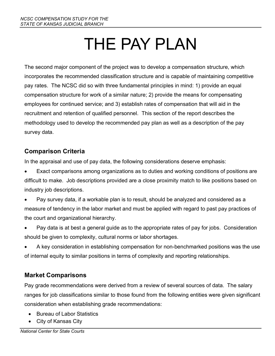# THE PAY PLAN

The second major component of the project was to develop a compensation structure, which incorporates the recommended classification structure and is capable of maintaining competitive pay rates. The NCSC did so with three fundamental principles in mind: 1) provide an equal compensation structure for work of a similar nature; 2) provide the means for compensating employees for continued service; and 3) establish rates of compensation that will aid in the recruitment and retention of qualified personnel. This section of the report describes the methodology used to develop the recommended pay plan as well as a description of the pay survey data.

#### **Comparison Criteria**

In the appraisal and use of pay data, the following considerations deserve emphasis:

- Exact comparisons among organizations as to duties and working conditions of positions are difficult to make. Job descriptions provided are a close proximity match to like positions based on industry job descriptions.
- Pay survey data, if a workable plan is to result, should be analyzed and considered as a measure of tendency in the labor market and must be applied with regard to past pay practices of the court and organizational hierarchy.
- Pay data is at best a general guide as to the appropriate rates of pay for jobs. Consideration should be given to complexity, cultural norms or labor shortages.
- A key consideration in establishing compensation for non-benchmarked positions was the use of internal equity to similar positions in terms of complexity and reporting relationships.

### **Market Comparisons**

Pay grade recommendations were derived from a review of several sources of data. The salary ranges for job classifications similar to those found from the following entities were given significant consideration when establishing grade recommendations:

- Bureau of Labor Statistics
- City of Kansas City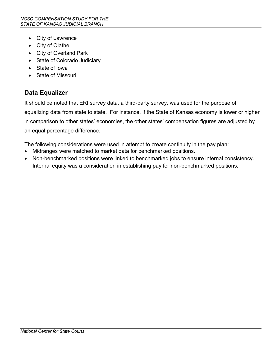- City of Lawrence
- City of Olathe
- City of Overland Park
- State of Colorado Judiciary
- State of Iowa
- State of Missouri

### **Data Equalizer**

It should be noted that ERI survey data, a third-party survey, was used for the purpose of equalizing data from state to state. For instance, if the State of Kansas economy is lower or higher in comparison to other states' economies, the other states' compensation figures are adjusted by an equal percentage difference.

The following considerations were used in attempt to create continuity in the pay plan:

- Midranges were matched to market data for benchmarked positions.
- Non-benchmarked positions were linked to benchmarked jobs to ensure internal consistency. Internal equity was a consideration in establishing pay for non-benchmarked positions.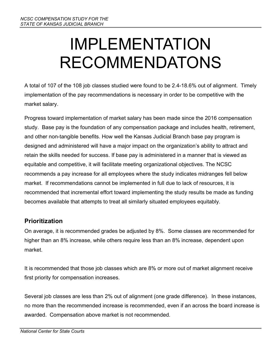# IMPLEMENTATION RECOMMENDATONS

A total of 107 of the 108 job classes studied were found to be 2.4-18.6% out of alignment. Timely implementation of the pay recommendations is necessary in order to be competitive with the market salary.

Progress toward implementation of market salary has been made since the 2016 compensation study. Base pay is the foundation of any compensation package and includes health, retirement, and other non-tangible benefits. How well the Kansas Judicial Branch base pay program is designed and administered will have a major impact on the organization's ability to attract and retain the skills needed for success. If base pay is administered in a manner that is viewed as equitable and competitive, it will facilitate meeting organizational objectives. The NCSC recommends a pay increase for all employees where the study indicates midranges fell below market. If recommendations cannot be implemented in full due to lack of resources, it is recommended that incremental effort toward implementing the study results be made as funding becomes available that attempts to treat all similarly situated employees equitably.

### **Prioritization**

On average, it is recommended grades be adjusted by 8%. Some classes are recommended for higher than an 8% increase, while others require less than an 8% increase, dependent upon market.

It is recommended that those job classes which are 8% or more out of market alignment receive first priority for compensation increases.

Several job classes are less than 2% out of alignment (one grade difference). In these instances, no more than the recommended increase is recommended, even if an across the board increase is awarded. Compensation above market is not recommended.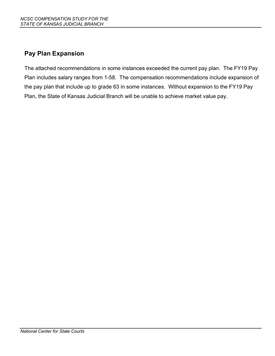### **Pay Plan Expansion**

The attached recommendations in some instances exceeded the current pay plan. The FY19 Pay Plan includes salary ranges from 1-58. The compensation recommendations include expansion of the pay plan that include up to grade 63 in some instances. Without expansion to the FY19 Pay Plan, the State of Kansas Judicial Branch will be unable to achieve market value pay.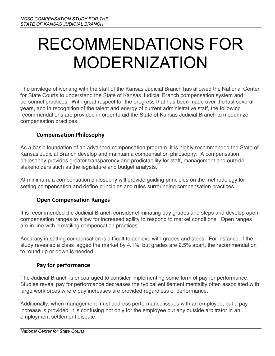## RECOMMENDATIONS FOR MODERNIZATION

The privilege of working with the staff of the Kansas Judicial Branch has allowed the National Center for State Courts to understand the State of Kansas Judicial Branch compensation system and personnel practices. With great respect for the progress that has been made over the last several years, and in recognition of the talent and energy of current administrative staff, the following recommendations are provided in order to aid the State of Kansas Judicial Branch to modernize compensation practices.

#### **Compensation Philosophy**

As a basic foundation of an advanced compensation program, it is highly recommended the State of Kansas Judicial Branch develop and maintain a compensation philosophy. A compensation philosophy provides greater transparency and predictability for staff, management and outside stakeholders such as the legislature and budget analysts.

At minimum, a compensation philosophy will provide guiding principles on the methodology for setting compensation and define principles and rules surrounding compensation practices.

#### **Open Compensation Ranges**

It is recommended the Judicial Branch consider eliminating pay grades and steps and develop open compensation ranges to allow for increased agility to respond to market conditions. Open ranges are in line with prevailing compensation practices.

Accuracy in setting compensation is difficult to achieve with grades and steps. For instance, if the study revealed a class lagged the market by 4.1%, but grades are 2.5% apart, the recommendation to round up or down is needed.

#### **Pay for performance**

The Judicial Branch is encouraged to consider implementing some form of pay for performance. Studies reveal pay for performance decreases the typical entitlement mentality often associated with large workforces where pay increases are provided regardless of performance.

Additionally, when management must address performance issues with an employee, but a pay increase is provided, it is confusing not only for the employee but any outside arbitrator in an employment settlement dispute.